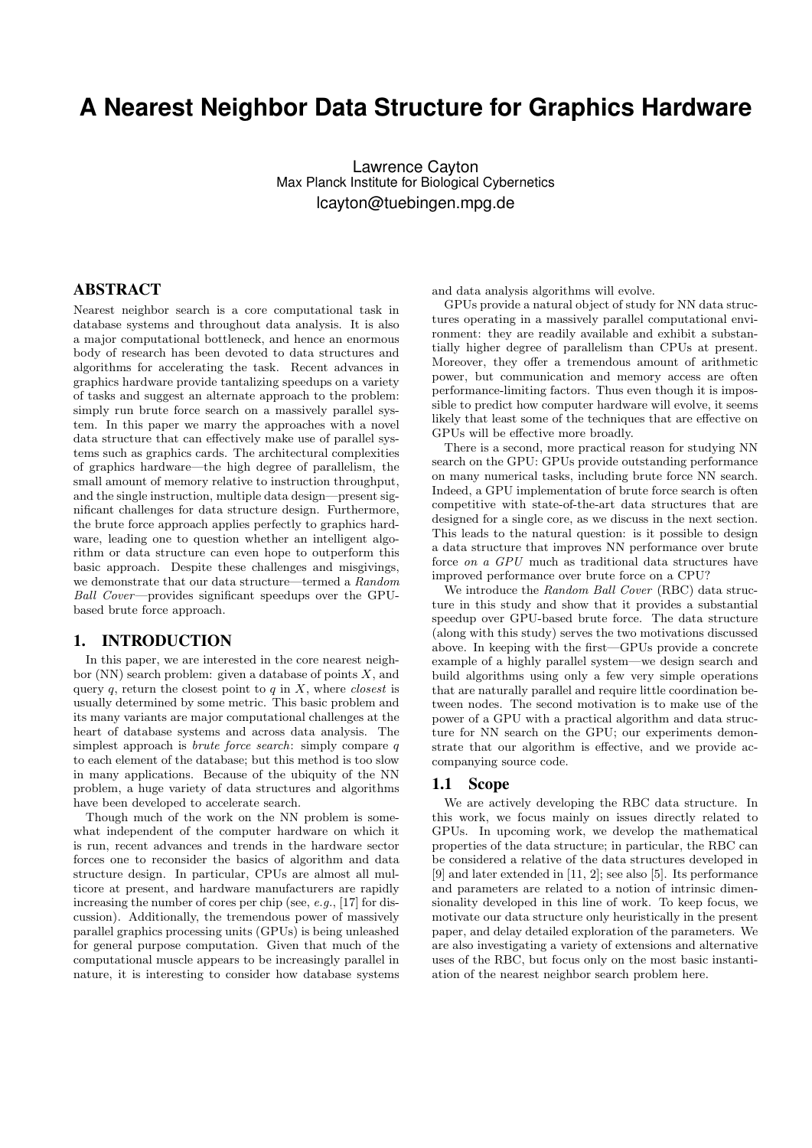# **A Nearest Neighbor Data Structure for Graphics Hardware**

Lawrence Cayton Max Planck Institute for Biological Cybernetics lcayton@tuebingen.mpg.de

### ABSTRACT

Nearest neighbor search is a core computational task in database systems and throughout data analysis. It is also a major computational bottleneck, and hence an enormous body of research has been devoted to data structures and algorithms for accelerating the task. Recent advances in graphics hardware provide tantalizing speedups on a variety of tasks and suggest an alternate approach to the problem: simply run brute force search on a massively parallel system. In this paper we marry the approaches with a novel data structure that can effectively make use of parallel systems such as graphics cards. The architectural complexities of graphics hardware—the high degree of parallelism, the small amount of memory relative to instruction throughput, and the single instruction, multiple data design—present significant challenges for data structure design. Furthermore, the brute force approach applies perfectly to graphics hardware, leading one to question whether an intelligent algorithm or data structure can even hope to outperform this basic approach. Despite these challenges and misgivings, we demonstrate that our data structure—termed a Random Ball Cover—provides significant speedups over the GPUbased brute force approach.

#### 1. INTRODUCTION

In this paper, we are interested in the core nearest neighbor (NN) search problem: given a database of points  $X$ , and query q, return the closest point to q in  $X$ , where *closest* is usually determined by some metric. This basic problem and its many variants are major computational challenges at the heart of database systems and across data analysis. The simplest approach is *brute force search*: simply compare q to each element of the database; but this method is too slow in many applications. Because of the ubiquity of the NN problem, a huge variety of data structures and algorithms have been developed to accelerate search.

Though much of the work on the NN problem is somewhat independent of the computer hardware on which it is run, recent advances and trends in the hardware sector forces one to reconsider the basics of algorithm and data structure design. In particular, CPUs are almost all multicore at present, and hardware manufacturers are rapidly increasing the number of cores per chip (see, e.g., [17] for discussion). Additionally, the tremendous power of massively parallel graphics processing units (GPUs) is being unleashed for general purpose computation. Given that much of the computational muscle appears to be increasingly parallel in nature, it is interesting to consider how database systems and data analysis algorithms will evolve.

GPUs provide a natural object of study for NN data structures operating in a massively parallel computational environment: they are readily available and exhibit a substantially higher degree of parallelism than CPUs at present. Moreover, they offer a tremendous amount of arithmetic power, but communication and memory access are often performance-limiting factors. Thus even though it is impossible to predict how computer hardware will evolve, it seems likely that least some of the techniques that are effective on GPUs will be effective more broadly.

There is a second, more practical reason for studying NN search on the GPU: GPUs provide outstanding performance on many numerical tasks, including brute force NN search. Indeed, a GPU implementation of brute force search is often competitive with state-of-the-art data structures that are designed for a single core, as we discuss in the next section. This leads to the natural question: is it possible to design a data structure that improves NN performance over brute force on a GPU much as traditional data structures have improved performance over brute force on a CPU?

We introduce the Random Ball Cover (RBC) data structure in this study and show that it provides a substantial speedup over GPU-based brute force. The data structure (along with this study) serves the two motivations discussed above. In keeping with the first—GPUs provide a concrete example of a highly parallel system—we design search and build algorithms using only a few very simple operations that are naturally parallel and require little coordination between nodes. The second motivation is to make use of the power of a GPU with a practical algorithm and data structure for NN search on the GPU; our experiments demonstrate that our algorithm is effective, and we provide accompanying source code.

#### 1.1 Scope

We are actively developing the RBC data structure. In this work, we focus mainly on issues directly related to GPUs. In upcoming work, we develop the mathematical properties of the data structure; in particular, the RBC can be considered a relative of the data structures developed in [9] and later extended in [11, 2]; see also [5]. Its performance and parameters are related to a notion of intrinsic dimensionality developed in this line of work. To keep focus, we motivate our data structure only heuristically in the present paper, and delay detailed exploration of the parameters. We are also investigating a variety of extensions and alternative uses of the RBC, but focus only on the most basic instantiation of the nearest neighbor search problem here.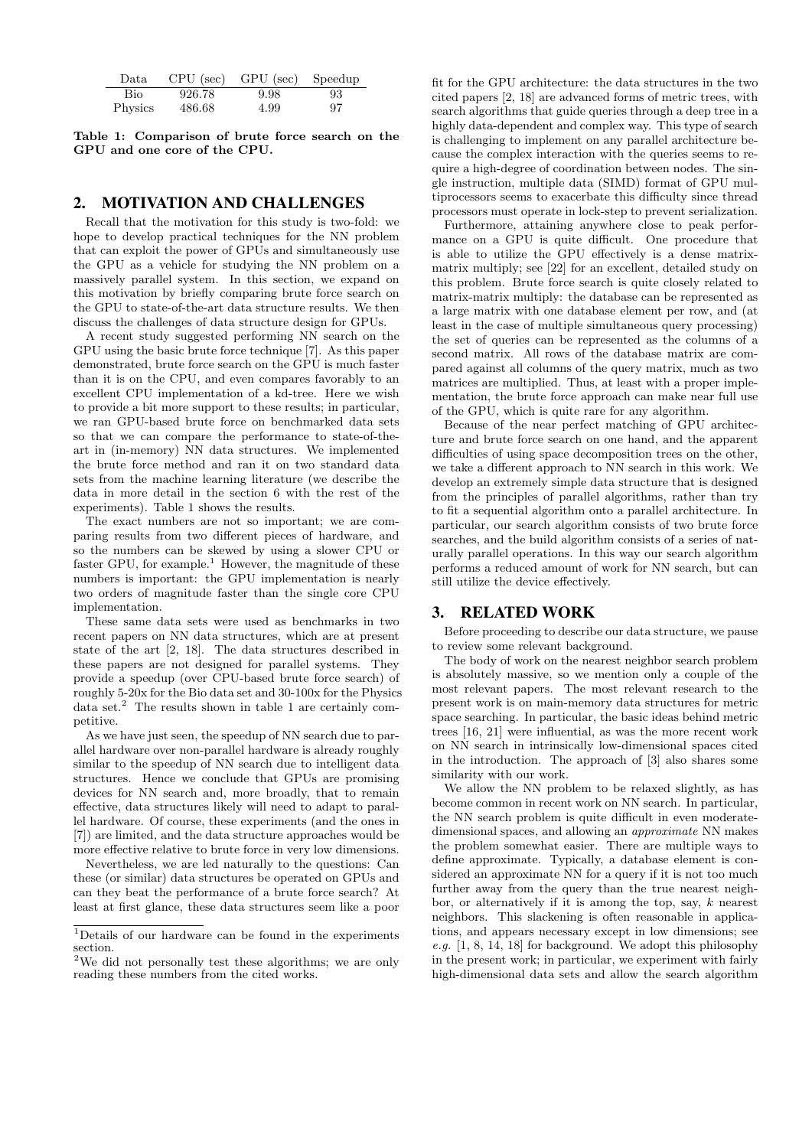| Data.   |        | $CPU$ (sec) $ GPU$ (sec) | Speedup |
|---------|--------|--------------------------|---------|
| Bio     | 926.78 | 9.98                     | 93      |
| Physics | 486.68 | 4.99                     | 97      |

Table 1: Comparison of brute force search on the GPU and one core of the CPU.

# 2. MOTIVATION AND CHALLENGES

Recall that the motivation for this study is two-fold: we hope to develop practical techniques for the NN problem that can exploit the power of GPUs and simultaneously use the GPU as a vehicle for studying the NN problem on a massively parallel system. In this section, we expand on this motivation by briefly comparing brute force search on the GPU to state-of-the-art data structure results. We then discuss the challenges of data structure design for GPUs.

A recent study suggested performing NN search on the GPU using the basic brute force technique [7]. As this paper demonstrated, brute force search on the GPU is much faster than it is on the CPU, and even compares favorably to an excellent CPU implementation of a kd-tree. Here we wish to provide a bit more support to these results; in particular, we ran GPU-based brute force on benchmarked data sets so that we can compare the performance to state-of-theart in (in-memory) NN data structures. We implemented the brute force method and ran it on two standard data sets from the machine learning literature (we describe the data in more detail in the section 6 with the rest of the experiments). Table 1 shows the results.

The exact numbers are not so important; we are comparing results from two different pieces of hardware, and so the numbers can be skewed by using a slower CPU or faster GPU, for example.<sup>1</sup> However, the magnitude of these numbers is important: the GPU implementation is nearly two orders of magnitude faster than the single core CPU implementation.

These same data sets were used as benchmarks in two recent papers on NN data structures, which are at present state of the art [2, 18]. The data structures described in these papers are not designed for parallel systems. They provide a speedup (over CPU-based brute force search) of roughly 5-20x for the Bio data set and 30-100x for the Physics data set.<sup>2</sup> The results shown in table 1 are certainly competitive.

As we have just seen, the speedup of NN search due to parallel hardware over non-parallel hardware is already roughly similar to the speedup of NN search due to intelligent data structures. Hence we conclude that GPUs are promising devices for NN search and, more broadly, that to remain effective, data structures likely will need to adapt to parallel hardware. Of course, these experiments (and the ones in [7]) are limited, and the data structure approaches would be more effective relative to brute force in very low dimensions.

Nevertheless, we are led naturally to the questions: Can these (or similar) data structures be operated on GPUs and can they beat the performance of a brute force search? At least at first glance, these data structures seem like a poor

fit for the GPU architecture: the data structures in the two cited papers [2, 18] are advanced forms of metric trees, with search algorithms that guide queries through a deep tree in a highly data-dependent and complex way. This type of search is challenging to implement on any parallel architecture because the complex interaction with the queries seems to require a high-degree of coordination between nodes. The single instruction, multiple data (SIMD) format of GPU multiprocessors seems to exacerbate this difficulty since thread processors must operate in lock-step to prevent serialization.

Furthermore, attaining anywhere close to peak performance on a GPU is quite difficult. One procedure that is able to utilize the GPU effectively is a dense matrixmatrix multiply; see [22] for an excellent, detailed study on this problem. Brute force search is quite closely related to matrix-matrix multiply: the database can be represented as a large matrix with one database element per row, and (at least in the case of multiple simultaneous query processing) the set of queries can be represented as the columns of a second matrix. All rows of the database matrix are compared against all columns of the query matrix, much as two matrices are multiplied. Thus, at least with a proper implementation, the brute force approach can make near full use of the GPU, which is quite rare for any algorithm.

Because of the near perfect matching of GPU architecture and brute force search on one hand, and the apparent difficulties of using space decomposition trees on the other, we take a different approach to NN search in this work. We develop an extremely simple data structure that is designed from the principles of parallel algorithms, rather than try to fit a sequential algorithm onto a parallel architecture. In particular, our search algorithm consists of two brute force searches, and the build algorithm consists of a series of naturally parallel operations. In this way our search algorithm performs a reduced amount of work for NN search, but can still utilize the device effectively.

## 3. RELATED WORK

Before proceeding to describe our data structure, we pause to review some relevant background.

The body of work on the nearest neighbor search problem is absolutely massive, so we mention only a couple of the most relevant papers. The most relevant research to the present work is on main-memory data structures for metric space searching. In particular, the basic ideas behind metric trees [16, 21] were influential, as was the more recent work on NN search in intrinsically low-dimensional spaces cited in the introduction. The approach of [3] also shares some similarity with our work.

We allow the NN problem to be relaxed slightly, as has become common in recent work on NN search. In particular, the NN search problem is quite difficult in even moderatedimensional spaces, and allowing an approximate NN makes the problem somewhat easier. There are multiple ways to define approximate. Typically, a database element is considered an approximate NN for a query if it is not too much further away from the query than the true nearest neighbor, or alternatively if it is among the top, say,  $k$  nearest neighbors. This slackening is often reasonable in applications, and appears necessary except in low dimensions; see e.g.  $[1, 8, 14, 18]$  for background. We adopt this philosophy in the present work; in particular, we experiment with fairly high-dimensional data sets and allow the search algorithm

<sup>1</sup>Details of our hardware can be found in the experiments section.

<sup>2</sup>We did not personally test these algorithms; we are only reading these numbers from the cited works.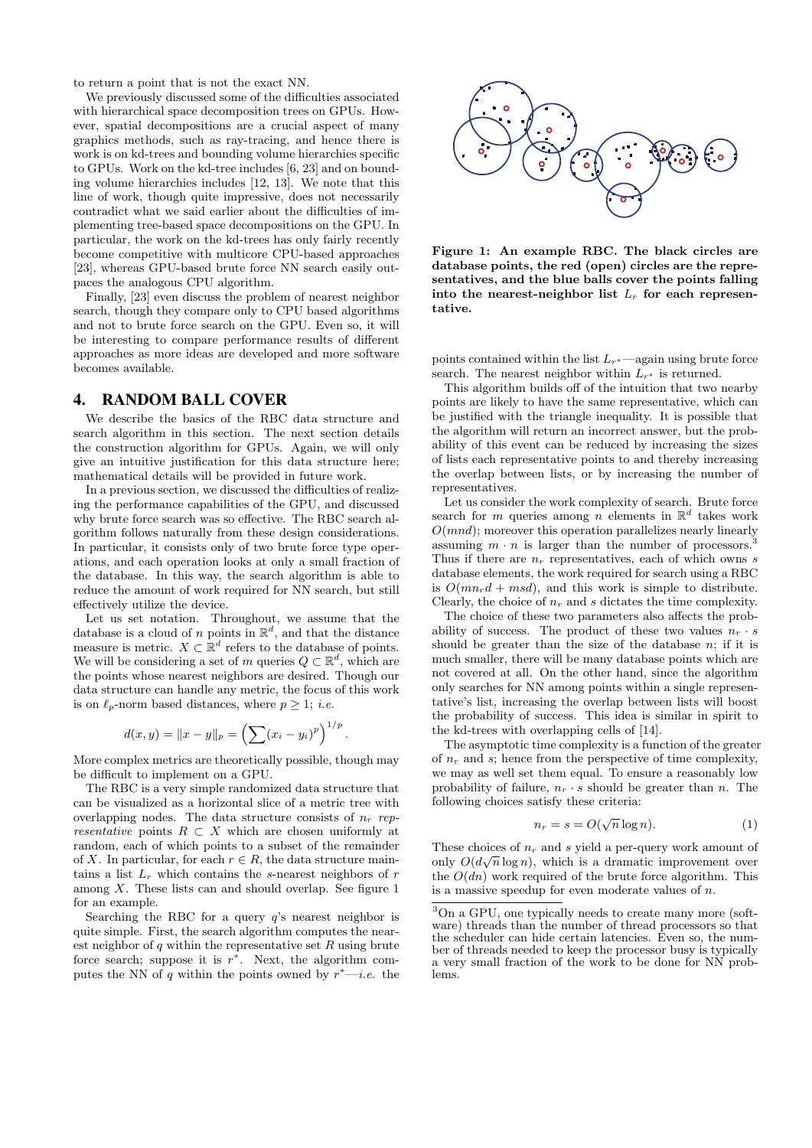to return a point that is not the exact NN.

We previously discussed some of the difficulties associated with hierarchical space decomposition trees on GPUs. However, spatial decompositions are a crucial aspect of many graphics methods, such as ray-tracing, and hence there is work is on kd-trees and bounding volume hierarchies specific to GPUs. Work on the kd-tree includes [6, 23] and on bounding volume hierarchies includes [12, 13]. We note that this line of work, though quite impressive, does not necessarily contradict what we said earlier about the difficulties of implementing tree-based space decompositions on the GPU. In particular, the work on the kd-trees has only fairly recently become competitive with multicore CPU-based approaches [23], whereas GPU-based brute force NN search easily outpaces the analogous CPU algorithm.

Finally, [23] even discuss the problem of nearest neighbor search, though they compare only to CPU based algorithms and not to brute force search on the GPU. Even so, it will be interesting to compare performance results of different approaches as more ideas are developed and more software becomes available.

#### 4. RANDOM BALL COVER

We describe the basics of the RBC data structure and search algorithm in this section. The next section details the construction algorithm for GPUs. Again, we will only give an intuitive justification for this data structure here; mathematical details will be provided in future work.

In a previous section, we discussed the difficulties of realizing the performance capabilities of the GPU, and discussed why brute force search was so effective. The RBC search algorithm follows naturally from these design considerations. In particular, it consists only of two brute force type operations, and each operation looks at only a small fraction of the database. In this way, the search algorithm is able to reduce the amount of work required for NN search, but still effectively utilize the device.

Let us set notation. Throughout, we assume that the database is a cloud of n points in  $\mathbb{R}^d$ , and that the distance measure is metric.  $X \subset \mathbb{R}^d$  refers to the database of points. We will be considering a set of m queries  $Q \subset \mathbb{R}^d$ , which are the points whose nearest neighbors are desired. Though our data structure can handle any metric, the focus of this work is on  $\ell_p$ -norm based distances, where  $p \geq 1$ ; *i.e.* 

$$
d(x, y) = ||x - y||_p = \left(\sum (x_i - y_i)^p\right)^{1/p}
$$

.

More complex metrics are theoretically possible, though may be difficult to implement on a GPU.

The RBC is a very simple randomized data structure that can be visualized as a horizontal slice of a metric tree with overlapping nodes. The data structure consists of  $n_r$  representative points  $R \subset X$  which are chosen uniformly at random, each of which points to a subset of the remainder of X. In particular, for each  $r \in R$ , the data structure maintains a list  $L_r$  which contains the s-nearest neighbors of r among  $X$ . These lists can and should overlap. See figure 1 for an example.

Searching the RBC for a query  $q$ 's nearest neighbor is quite simple. First, the search algorithm computes the nearest neighbor of  $q$  within the representative set  $R$  using brute force search; suppose it is  $r^*$ . Next, the algorithm computes the NN of q within the points owned by  $r^*$ —*i.e.* the



Figure 1: An example RBC. The black circles are database points, the red (open) circles are the representatives, and the blue balls cover the points falling into the nearest-neighbor list  $L_r$  for each representative.

points contained within the list  $L_{r^*}$ —again using brute force search. The nearest neighbor within  $L_{r^*}$  is returned.

This algorithm builds off of the intuition that two nearby points are likely to have the same representative, which can be justified with the triangle inequality. It is possible that the algorithm will return an incorrect answer, but the probability of this event can be reduced by increasing the sizes of lists each representative points to and thereby increasing the overlap between lists, or by increasing the number of representatives.

Let us consider the work complexity of search. Brute force search for m queries among n elements in  $\mathbb{R}^d$  takes work  $O(mnd)$ ; moreover this operation parallelizes nearly linearly assuming  $m \cdot n$  is larger than the number of processors.<sup>3</sup> Thus if there are  $n_r$  representatives, each of which owns s database elements, the work required for search using a RBC is  $O(mn_r d + msd)$ , and this work is simple to distribute. Clearly, the choice of  $n_r$  and s dictates the time complexity.

The choice of these two parameters also affects the probability of success. The product of these two values  $n_r \cdot s$ should be greater than the size of the database  $n$ ; if it is much smaller, there will be many database points which are not covered at all. On the other hand, since the algorithm only searches for NN among points within a single representative's list, increasing the overlap between lists will boost the probability of success. This idea is similar in spirit to the kd-trees with overlapping cells of [14].

The asymptotic time complexity is a function of the greater of  $n_r$  and s; hence from the perspective of time complexity, we may as well set them equal. To ensure a reasonably low probability of failure,  $n_r \cdot s$  should be greater than n. The following choices satisfy these criteria:

$$
n_r = s = O(\sqrt{n}\log n). \tag{1}
$$

These choices of  $n_r$  and s yield a per-query work amount of only  $O(d\sqrt{n}\log n)$ , which is a dramatic improvement over the  $O(dn)$  work required of the brute force algorithm. This is a massive speedup for even moderate values of n.

<sup>3</sup>On a GPU, one typically needs to create many more (software) threads than the number of thread processors so that the scheduler can hide certain latencies. Even so, the number of threads needed to keep the processor busy is typically a very small fraction of the work to be done for NN problems.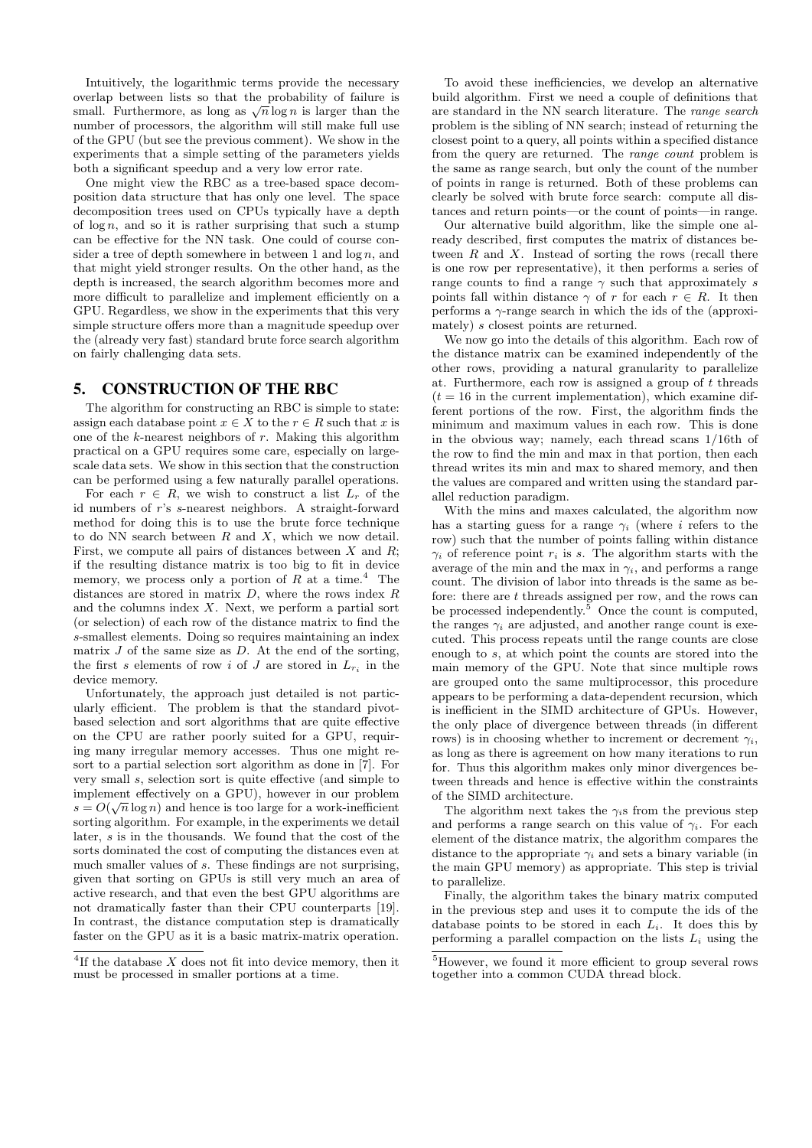Intuitively, the logarithmic terms provide the necessary overlap between lists so that the probability of failure is overlap between lists so that the probability of landre is<br>small. Furthermore, as long as  $\sqrt{n} \log n$  is larger than the number of processors, the algorithm will still make full use of the GPU (but see the previous comment). We show in the experiments that a simple setting of the parameters yields both a significant speedup and a very low error rate.

One might view the RBC as a tree-based space decomposition data structure that has only one level. The space decomposition trees used on CPUs typically have a depth of  $\log n$ , and so it is rather surprising that such a stump can be effective for the NN task. One could of course consider a tree of depth somewhere in between 1 and  $\log n$ , and that might yield stronger results. On the other hand, as the depth is increased, the search algorithm becomes more and more difficult to parallelize and implement efficiently on a GPU. Regardless, we show in the experiments that this very simple structure offers more than a magnitude speedup over the (already very fast) standard brute force search algorithm on fairly challenging data sets.

#### 5. CONSTRUCTION OF THE RBC

The algorithm for constructing an RBC is simple to state: assign each database point  $x \in X$  to the  $r \in R$  such that x is one of the  $k$ -nearest neighbors of  $r$ . Making this algorithm practical on a GPU requires some care, especially on largescale data sets. We show in this section that the construction can be performed using a few naturally parallel operations.

For each  $r \in R$ , we wish to construct a list  $L_r$  of the id numbers of r's s-nearest neighbors. A straight-forward method for doing this is to use the brute force technique to do NN search between  $R$  and  $X$ , which we now detail. First, we compute all pairs of distances between  $X$  and  $R$ ; if the resulting distance matrix is too big to fit in device memory, we process only a portion of  $R$  at a time.<sup>4</sup> The distances are stored in matrix  $D$ , where the rows index  $R$ and the columns index  $X$ . Next, we perform a partial sort (or selection) of each row of the distance matrix to find the s-smallest elements. Doing so requires maintaining an index matrix  $J$  of the same size as  $D$ . At the end of the sorting, the first s elements of row i of J are stored in  $L_{r_i}$  in the device memory.

Unfortunately, the approach just detailed is not particularly efficient. The problem is that the standard pivotbased selection and sort algorithms that are quite effective on the CPU are rather poorly suited for a GPU, requiring many irregular memory accesses. Thus one might resort to a partial selection sort algorithm as done in [7]. For very small s, selection sort is quite effective (and simple to implement effectively on a GPU), however in our problem  $s = O(\sqrt{n}\log n)$  and hence is too large for a work-inefficient sorting algorithm. For example, in the experiments we detail later, s is in the thousands. We found that the cost of the sorts dominated the cost of computing the distances even at much smaller values of s. These findings are not surprising, given that sorting on GPUs is still very much an area of active research, and that even the best GPU algorithms are not dramatically faster than their CPU counterparts [19]. In contrast, the distance computation step is dramatically faster on the GPU as it is a basic matrix-matrix operation.

To avoid these inefficiencies, we develop an alternative build algorithm. First we need a couple of definitions that are standard in the NN search literature. The range search problem is the sibling of NN search; instead of returning the closest point to a query, all points within a specified distance from the query are returned. The range count problem is the same as range search, but only the count of the number of points in range is returned. Both of these problems can clearly be solved with brute force search: compute all distances and return points—or the count of points—in range.

Our alternative build algorithm, like the simple one already described, first computes the matrix of distances between  $R$  and  $X$ . Instead of sorting the rows (recall there is one row per representative), it then performs a series of range counts to find a range  $\gamma$  such that approximately s points fall within distance  $\gamma$  of r for each  $r \in R$ . It then performs a  $\gamma$ -range search in which the ids of the (approximately) s closest points are returned.

We now go into the details of this algorithm. Each row of the distance matrix can be examined independently of the other rows, providing a natural granularity to parallelize at. Furthermore, each row is assigned a group of  $t$  threads  $(t = 16$  in the current implementation), which examine different portions of the row. First, the algorithm finds the minimum and maximum values in each row. This is done in the obvious way; namely, each thread scans 1/16th of the row to find the min and max in that portion, then each thread writes its min and max to shared memory, and then the values are compared and written using the standard parallel reduction paradigm.

With the mins and maxes calculated, the algorithm now has a starting guess for a range  $\gamma_i$  (where i refers to the row) such that the number of points falling within distance  $\gamma_i$  of reference point  $r_i$  is s. The algorithm starts with the average of the min and the max in  $\gamma_i$ , and performs a range count. The division of labor into threads is the same as before: there are  $t$  threads assigned per row, and the rows can be processed independently. $5$  Once the count is computed, the ranges  $\gamma_i$  are adjusted, and another range count is executed. This process repeats until the range counts are close enough to s, at which point the counts are stored into the main memory of the GPU. Note that since multiple rows are grouped onto the same multiprocessor, this procedure appears to be performing a data-dependent recursion, which is inefficient in the SIMD architecture of GPUs. However, the only place of divergence between threads (in different rows) is in choosing whether to increment or decrement  $\gamma_i$ , as long as there is agreement on how many iterations to run for. Thus this algorithm makes only minor divergences between threads and hence is effective within the constraints of the SIMD architecture.

The algorithm next takes the  $\gamma_i$ s from the previous step and performs a range search on this value of  $\gamma_i$ . For each element of the distance matrix, the algorithm compares the distance to the appropriate  $\gamma_i$  and sets a binary variable (in the main GPU memory) as appropriate. This step is trivial to parallelize.

Finally, the algorithm takes the binary matrix computed in the previous step and uses it to compute the ids of the database points to be stored in each  $L_i$ . It does this by performing a parallel compaction on the lists  $L_i$  using the

<sup>&</sup>lt;sup>4</sup>If the database  $X$  does not fit into device memory, then it must be processed in smaller portions at a time.

<sup>5</sup>However, we found it more efficient to group several rows together into a common CUDA thread block.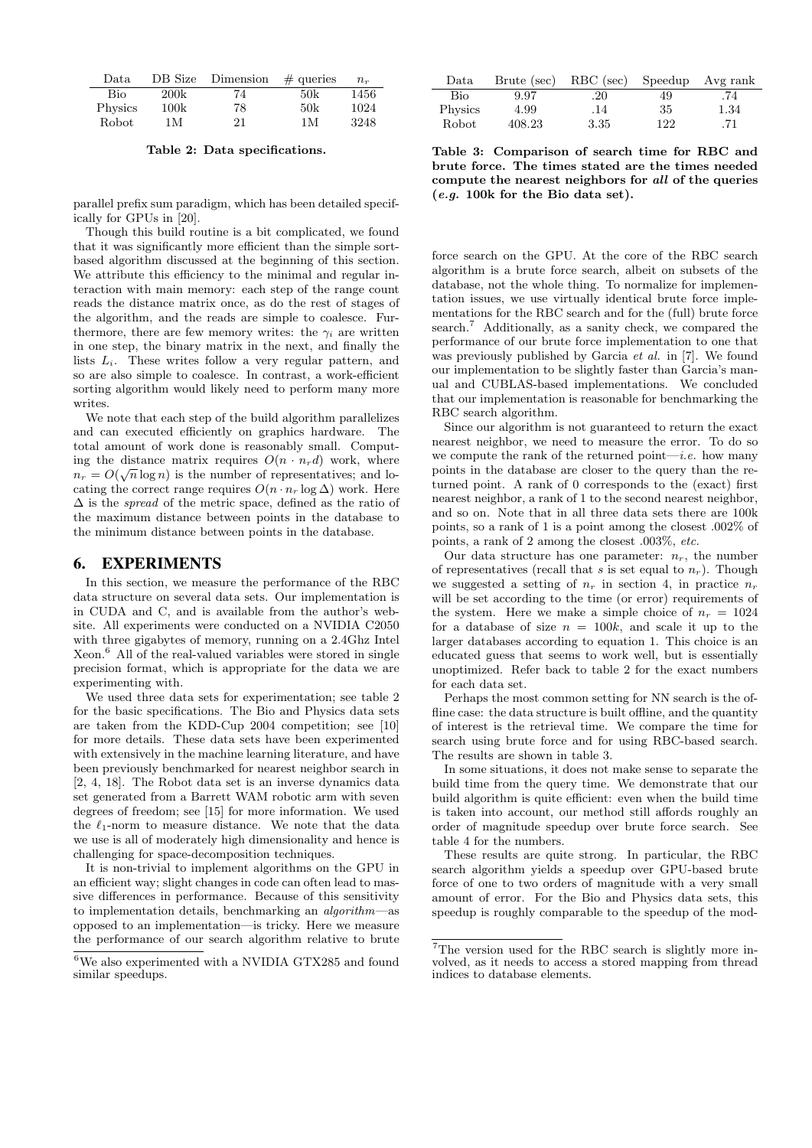| Data    | DB Size | Dimension | $\#$ queries | $n_r$ |
|---------|---------|-----------|--------------|-------|
| Bio     | 200k    | 74        | 50k          | 1456  |
| Physics | 100k    | 78        | 50k          | 1024  |
| Robot   | 1 M     | 21        | 1 M          | 3248  |

Table 2: Data specifications.

parallel prefix sum paradigm, which has been detailed specifically for GPUs in [20].

Though this build routine is a bit complicated, we found that it was significantly more efficient than the simple sortbased algorithm discussed at the beginning of this section. We attribute this efficiency to the minimal and regular interaction with main memory: each step of the range count reads the distance matrix once, as do the rest of stages of the algorithm, and the reads are simple to coalesce. Furthermore, there are few memory writes: the  $\gamma_i$  are written in one step, the binary matrix in the next, and finally the lists  $L_i$ . These writes follow a very regular pattern, and so are also simple to coalesce. In contrast, a work-efficient sorting algorithm would likely need to perform many more writes.

We note that each step of the build algorithm parallelizes and can executed efficiently on graphics hardware. The total amount of work done is reasonably small. Computing the distance matrix requires  $O(n \cdot n_r d)$  work, where  $n_r = O(\sqrt{n}\log n)$  is the number of representatives; and locating the correct range requires  $O(n \cdot n_r \log \Delta)$  work. Here  $\Delta$  is the *spread* of the metric space, defined as the ratio of the maximum distance between points in the database to the minimum distance between points in the database.

## 6. EXPERIMENTS

In this section, we measure the performance of the RBC data structure on several data sets. Our implementation is in CUDA and C, and is available from the author's website. All experiments were conducted on a NVIDIA C2050 with three gigabytes of memory, running on a 2.4Ghz Intel Xeon.<sup>6</sup> All of the real-valued variables were stored in single precision format, which is appropriate for the data we are experimenting with.

We used three data sets for experimentation; see table 2 for the basic specifications. The Bio and Physics data sets are taken from the KDD-Cup 2004 competition; see [10] for more details. These data sets have been experimented with extensively in the machine learning literature, and have been previously benchmarked for nearest neighbor search in [2, 4, 18]. The Robot data set is an inverse dynamics data set generated from a Barrett WAM robotic arm with seven degrees of freedom; see [15] for more information. We used the  $\ell_1$ -norm to measure distance. We note that the data we use is all of moderately high dimensionality and hence is challenging for space-decomposition techniques.

It is non-trivial to implement algorithms on the GPU in an efficient way; slight changes in code can often lead to massive differences in performance. Because of this sensitivity to implementation details, benchmarking an algorithm—as opposed to an implementation—is tricky. Here we measure the performance of our search algorithm relative to brute

| Data    | Brute (sec) | RBC (sec) |     | Speedup Avg rank |
|---------|-------------|-----------|-----|------------------|
| Bio     | 9.97        | $.20\,$   | 49  | .74              |
| Physics | 4.99        | .14       | 35  | 1.34             |
| Robot   | 408.23      | 3.35      | 122 | .71              |

Table 3: Comparison of search time for RBC and brute force. The times stated are the times needed compute the nearest neighbors for all of the queries (e.g. 100k for the Bio data set).

force search on the GPU. At the core of the RBC search algorithm is a brute force search, albeit on subsets of the database, not the whole thing. To normalize for implementation issues, we use virtually identical brute force implementations for the RBC search and for the (full) brute force search.<sup>7</sup> Additionally, as a sanity check, we compared the performance of our brute force implementation to one that was previously published by Garcia *et al.* in [7]. We found our implementation to be slightly faster than Garcia's manual and CUBLAS-based implementations. We concluded that our implementation is reasonable for benchmarking the RBC search algorithm.

Since our algorithm is not guaranteed to return the exact nearest neighbor, we need to measure the error. To do so we compute the rank of the returned point—*i.e.* how many points in the database are closer to the query than the returned point. A rank of 0 corresponds to the (exact) first nearest neighbor, a rank of 1 to the second nearest neighbor, and so on. Note that in all three data sets there are 100k points, so a rank of 1 is a point among the closest .002% of points, a rank of 2 among the closest .003%, etc.

Our data structure has one parameter:  $n_r$ , the number of representatives (recall that s is set equal to  $n_r$ ). Though we suggested a setting of  $n_r$  in section 4, in practice  $n_r$ will be set according to the time (or error) requirements of the system. Here we make a simple choice of  $n_r = 1024$ for a database of size  $n = 100k$ , and scale it up to the larger databases according to equation 1. This choice is an educated guess that seems to work well, but is essentially unoptimized. Refer back to table 2 for the exact numbers for each data set.

Perhaps the most common setting for NN search is the offline case: the data structure is built offline, and the quantity of interest is the retrieval time. We compare the time for search using brute force and for using RBC-based search. The results are shown in table 3.

In some situations, it does not make sense to separate the build time from the query time. We demonstrate that our build algorithm is quite efficient: even when the build time is taken into account, our method still affords roughly an order of magnitude speedup over brute force search. See table 4 for the numbers.

These results are quite strong. In particular, the RBC search algorithm yields a speedup over GPU-based brute force of one to two orders of magnitude with a very small amount of error. For the Bio and Physics data sets, this speedup is roughly comparable to the speedup of the mod-

 ${}^{6}\mathrm{We}$  also experimented with a NVIDIA GTX285 and found similar speedups.

<sup>7</sup>The version used for the RBC search is slightly more involved, as it needs to access a stored mapping from thread indices to database elements.